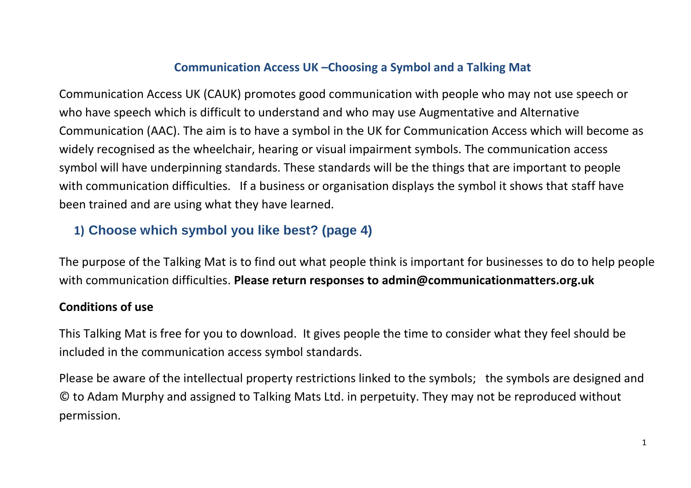## **Communication Access UK –Choosing a Symbol and a Talking Mat**

Communication Access UK (CAUK) promotes good communication with people who may not use speech or who have speech which is difficult to understand and who may use Augmentative and Alternative Communication (AAC). The aim is to have a symbol in the UK for Communication Access which will become as widely recognised as the wheelchair, hearing or visual impairment symbols. The communication access symbol will have underpinning standards. These standards will be the things that are important to people with communication difficulties. If a business or organisation displays the symbol it shows that staff have been trained and are using what they have learned.

## **1) Choose which symbol you like best? (page 4)**

The purpose of the Talking Mat is to find out what people think is important for businesses to do to help people with communication difficulties. **Please return responses to admin@communicationmatters.org.uk**

## **Conditions of use**

This Talking Mat is free for you to download. It gives people the time to consider what they feel should be included in the communication access symbol standards.

Please be aware of the intellectual property restrictions linked to the symbols; the symbols are designed and © to Adam Murphy and assigned to Talking Mats Ltd. in perpetuity. They may not be reproduced without permission.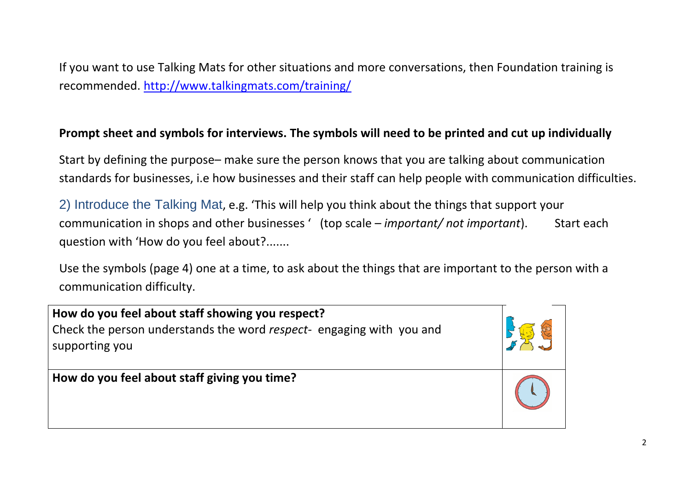If you want to use Talking Mats for other situations and more conversations, then Foundation training is recommended.<http://www.talkingmats.com/training/>

## **Prompt sheet and symbols for interviews. The symbols will need to be printed and cut up individually**

Start by defining the purpose– make sure the person knows that you are talking about communication standards for businesses, i.e how businesses and their staff can help people with communication difficulties.

2) Introduce the Talking Mat, e.g. 'This will help you think about the things that support your communication in shops and other businesses ' (top scale – *important/ not important*). Start each question with 'How do you feel about?.......

Use the symbols (page 4) one at a time, to ask about the things that are important to the person with a communication difficulty.

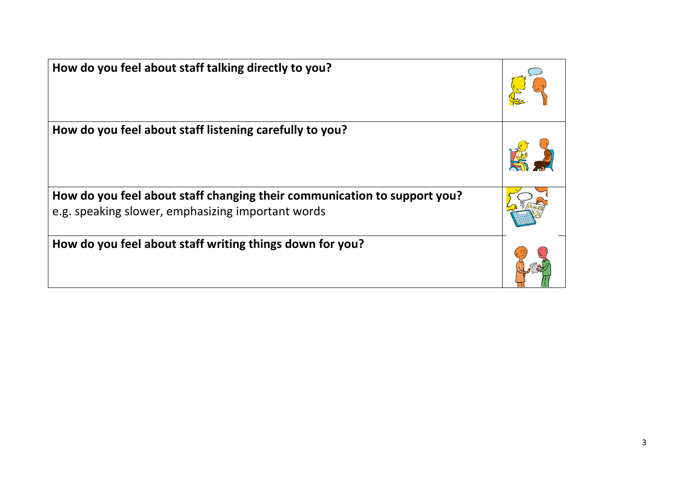| How do you feel about staff talking directly to you?                                                                          |  |
|-------------------------------------------------------------------------------------------------------------------------------|--|
| How do you feel about staff listening carefully to you?                                                                       |  |
| How do you feel about staff changing their communication to support you?<br>e.g. speaking slower, emphasizing important words |  |
| How do you feel about staff writing things down for you?                                                                      |  |